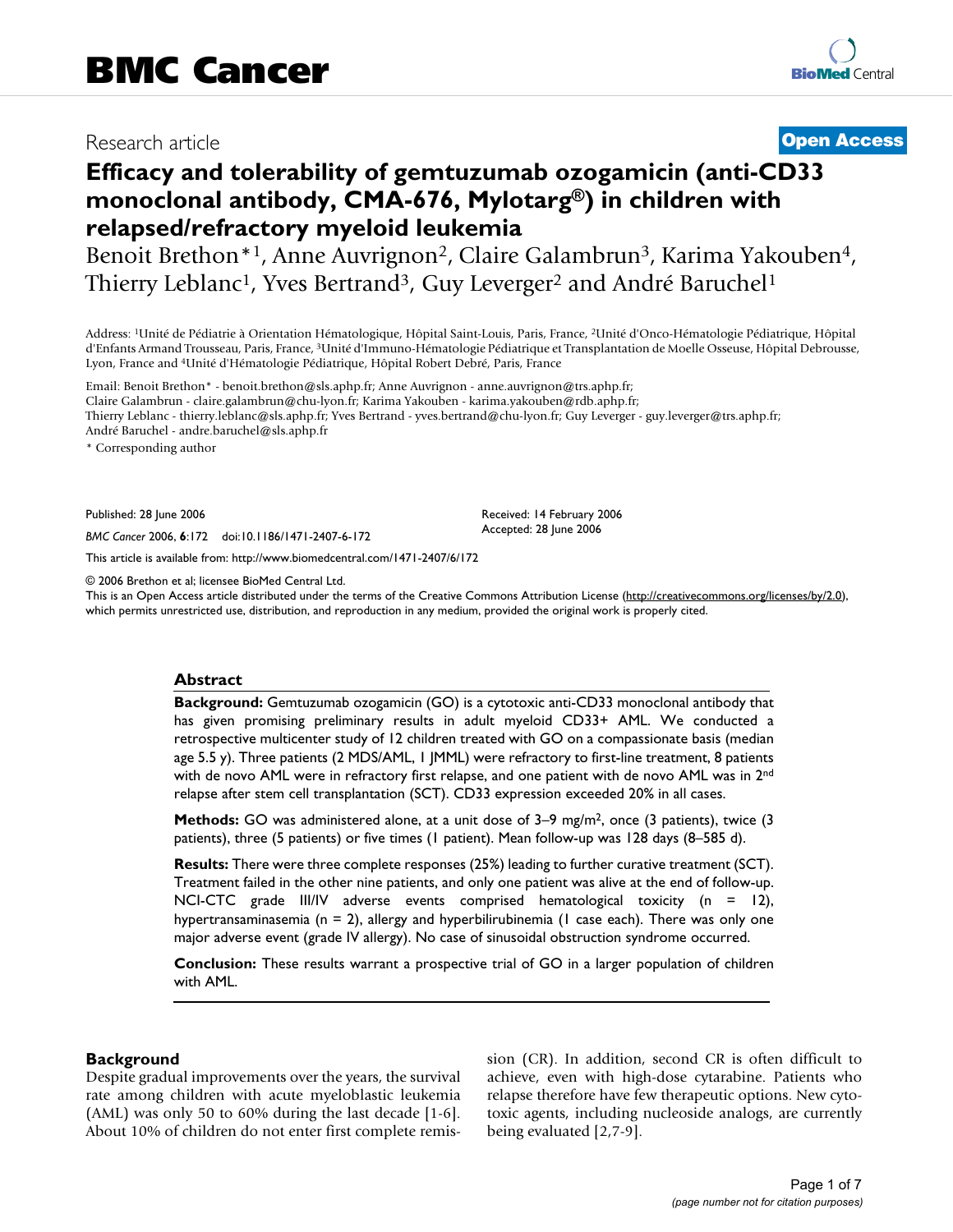## Research article **[Open Access](http://www.biomedcentral.com/info/about/charter/)**

# **Efficacy and tolerability of gemtuzumab ozogamicin (anti-CD33 monoclonal antibody, CMA-676, Mylotarg®) in children with relapsed/refractory myeloid leukemia**

Benoit Brethon<sup>\*1</sup>, Anne Auvrignon<sup>2</sup>, Claire Galambrun<sup>3</sup>, Karima Yakouben<sup>4</sup>, Thierry Leblanc<sup>1</sup>, Yves Bertrand<sup>3</sup>, Guy Leverger<sup>2</sup> and André Baruchel<sup>1</sup>

Address: 1Unité de Pédiatrie à Orientation Hématologique, Hôpital Saint-Louis, Paris, France, 2Unité d'Onco-Hématologie Pédiatrique, Hôpital d'Enfants Armand Trousseau, Paris, France, 3Unité d'Immuno-Hématologie Pédiatrique et Transplantation de Moelle Osseuse, Hôpital Debrousse, Lyon, France and 4Unité d'Hématologie Pédiatrique, Hôpital Robert Debré, Paris, France

Email: Benoit Brethon\* - benoit.brethon@sls.aphp.fr; Anne Auvrignon - anne.auvrignon@trs.aphp.fr; Claire Galambrun - claire.galambrun@chu-lyon.fr; Karima Yakouben - karima.yakouben@rdb.aphp.fr; Thierry Leblanc - thierry.leblanc@sls.aphp.fr; Yves Bertrand - yves.bertrand@chu-lyon.fr; Guy Leverger - guy.leverger@trs.aphp.fr; André Baruchel - andre.baruchel@sls.aphp.fr

\* Corresponding author

Published: 28 June 2006

*BMC Cancer* 2006, **6**:172 doi:10.1186/1471-2407-6-172

[This article is available from: http://www.biomedcentral.com/1471-2407/6/172](http://www.biomedcentral.com/1471-2407/6/172)

© 2006 Brethon et al; licensee BioMed Central Ltd.

This is an Open Access article distributed under the terms of the Creative Commons Attribution License [\(http://creativecommons.org/licenses/by/2.0\)](http://creativecommons.org/licenses/by/2.0), which permits unrestricted use, distribution, and reproduction in any medium, provided the original work is properly cited.

Received: 14 February 2006 Accepted: 28 June 2006

#### **Abstract**

**Background:** Gemtuzumab ozogamicin (GO) is a cytotoxic anti-CD33 monoclonal antibody that has given promising preliminary results in adult myeloid CD33+ AML. We conducted a retrospective multicenter study of 12 children treated with GO on a compassionate basis (median age 5.5 y). Three patients (2 MDS/AML, 1 JMML) were refractory to first-line treatment, 8 patients with de novo AML were in refractory first relapse, and one patient with de novo AML was in 2<sup>nd</sup> relapse after stem cell transplantation (SCT). CD33 expression exceeded 20% in all cases.

**Methods:** GO was administered alone, at a unit dose of 3–9 mg/m<sup>2</sup>, once (3 patients), twice (3 patients), three (5 patients) or five times (1 patient). Mean follow-up was 128 days (8–585 d).

**Results:** There were three complete responses (25%) leading to further curative treatment (SCT). Treatment failed in the other nine patients, and only one patient was alive at the end of follow-up. NCI-CTC grade III/IV adverse events comprised hematological toxicity (n = 12), hypertransaminasemia (n = 2), allergy and hyperbilirubinemia (1 case each). There was only one major adverse event (grade IV allergy). No case of sinusoidal obstruction syndrome occurred.

**Conclusion:** These results warrant a prospective trial of GO in a larger population of children with AML.

#### **Background**

Despite gradual improvements over the years, the survival rate among children with acute myeloblastic leukemia (AML) was only 50 to 60% during the last decade [1-6]. About 10% of children do not enter first complete remission (CR). In addition, second CR is often difficult to achieve, even with high-dose cytarabine. Patients who relapse therefore have few therapeutic options. New cytotoxic agents, including nucleoside analogs, are currently being evaluated [2,7-9].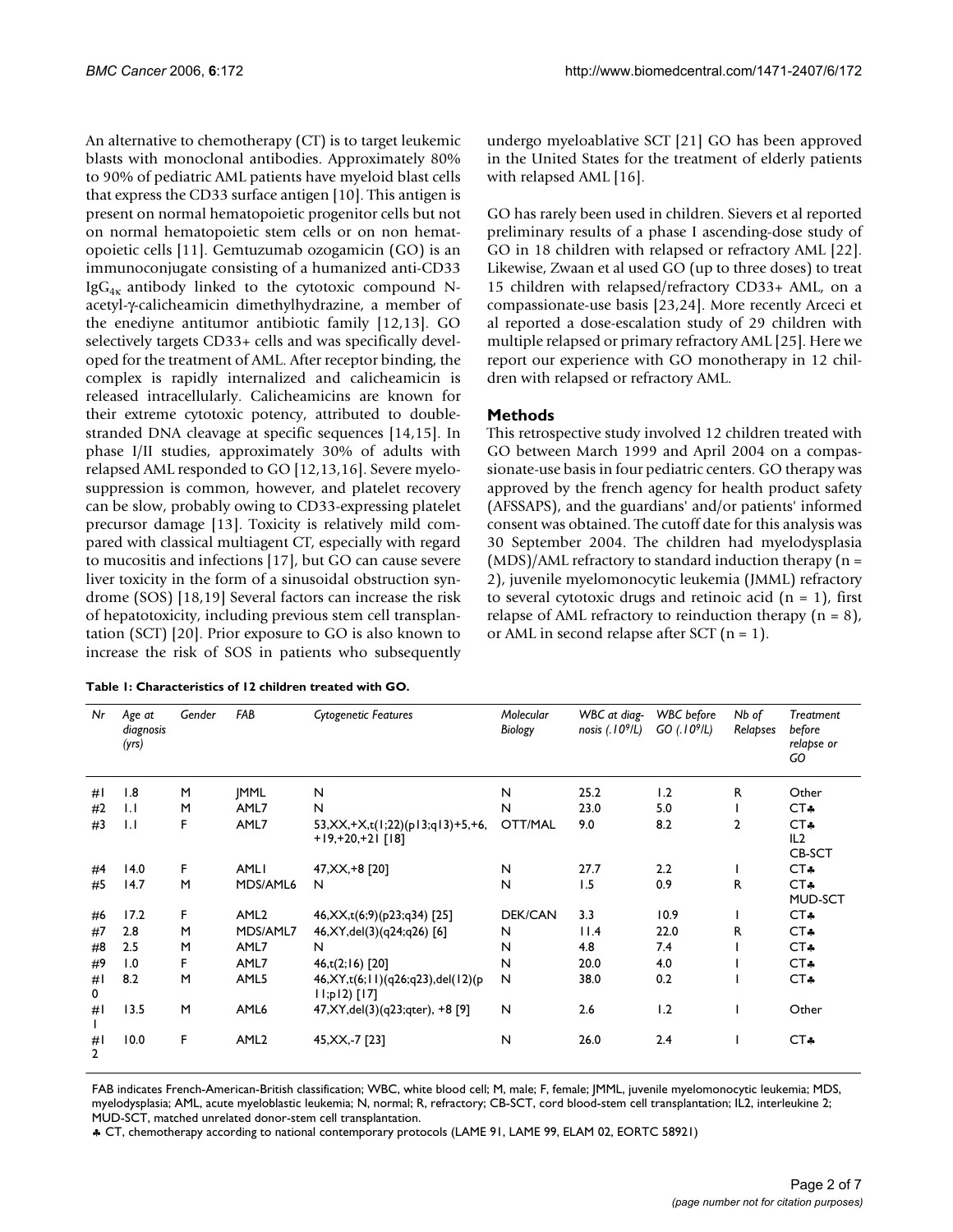An alternative to chemotherapy (CT) is to target leukemic blasts with monoclonal antibodies. Approximately 80% to 90% of pediatric AML patients have myeloid blast cells that express the CD33 surface antigen [10]. This antigen is present on normal hematopoietic progenitor cells but not on normal hematopoietic stem cells or on non hematopoietic cells [11]. Gemtuzumab ozogamicin (GO) is an immunoconjugate consisting of a humanized anti-CD33  $IgG_{4k}$  antibody linked to the cytotoxic compound Nacetyl-γ-calicheamicin dimethylhydrazine, a member of the enediyne antitumor antibiotic family [12,13]. GO selectively targets CD33+ cells and was specifically developed for the treatment of AML. After receptor binding, the complex is rapidly internalized and calicheamicin is released intracellularly. Calicheamicins are known for their extreme cytotoxic potency, attributed to doublestranded DNA cleavage at specific sequences [14,15]. In phase I/II studies, approximately 30% of adults with relapsed AML responded to GO [12,13,16]. Severe myelosuppression is common, however, and platelet recovery can be slow, probably owing to CD33-expressing platelet precursor damage [13]. Toxicity is relatively mild compared with classical multiagent CT, especially with regard to mucositis and infections [17], but GO can cause severe liver toxicity in the form of a sinusoidal obstruction syndrome (SOS) [18,19] Several factors can increase the risk of hepatotoxicity, including previous stem cell transplantation (SCT) [20]. Prior exposure to GO is also known to increase the risk of SOS in patients who subsequently

**Table 1: Characteristics of 12 children treated with GO.**

undergo myeloablative SCT [21] GO has been approved in the United States for the treatment of elderly patients with relapsed AML [16].

GO has rarely been used in children. Sievers et al reported preliminary results of a phase I ascending-dose study of GO in 18 children with relapsed or refractory AML [22]. Likewise, Zwaan et al used GO (up to three doses) to treat 15 children with relapsed/refractory CD33+ AML, on a compassionate-use basis [23,24]. More recently Arceci et al reported a dose-escalation study of 29 children with multiple relapsed or primary refractory AML [25]. Here we report our experience with GO monotherapy in 12 children with relapsed or refractory AML.

### **Methods**

This retrospective study involved 12 children treated with GO between March 1999 and April 2004 on a compassionate-use basis in four pediatric centers. GO therapy was approved by the french agency for health product safety (AFSSAPS), and the guardians' and/or patients' informed consent was obtained. The cutoff date for this analysis was 30 September 2004. The children had myelodysplasia  $(MDS)/AML$  refractory to standard induction therapy  $(n =$ 2), juvenile myelomonocytic leukemia (JMML) refractory to several cytotoxic drugs and retinoic acid  $(n = 1)$ , first relapse of AML refractory to reinduction therapy  $(n = 8)$ , or AML in second relapse after SCT  $(n = 1)$ .

| Nr                   | Age at<br>diagnosis<br>(yrs) | Gender | <b>FAB</b>       | <b>Cytogenetic Features</b>                                      | Molecular<br>Biology | WBC at diag-<br>nosis $(.109/L)$ | <b>WBC</b> before<br>GO(.109/L) | Nb of<br>Relapses | <b>Treatment</b><br>before<br>relapse or<br>GO |
|----------------------|------------------------------|--------|------------------|------------------------------------------------------------------|----------------------|----------------------------------|---------------------------------|-------------------|------------------------------------------------|
| #I                   | 1.8                          | M      | <b>IMML</b>      | N                                                                | N                    | 25.2                             | 1.2                             | R                 | Other                                          |
| #2                   | $\mathsf{L}$                 | M      | AML7             | N                                                                | N                    | 23.0                             | 5.0                             |                   | CT+                                            |
| #3                   | 1.1                          | F      | AML7             | 53, XX, + X, t(1; 22) (p13; q13) + 5, + 6,<br>$+19,+20,+21$ [18] | OTT/MAL              | 9.0                              | 8.2                             | $\mathbf{2}$      | CT+<br>IL2<br>CB-SCT                           |
| #4                   | 14.0                         | F      | <b>AMLI</b>      | $47,XX,+8$ [20]                                                  | N                    | 27.7                             | 2.2                             |                   | CT+                                            |
| #5                   | 14.7                         | M      | MDS/AML6         | N                                                                | N                    | 1.5                              | 0.9                             | R                 | CT+<br>MUD-SCT                                 |
| #6                   | 17.2                         | F      | AML <sub>2</sub> | $46, XX, t(6,9)(p23, q34)$ [25]                                  | DEK/CAN              | 3.3                              | 10.9                            |                   | CT+                                            |
| #7                   | 2.8                          | M      | MDS/AML7         | 46, XY, del(3)(q24; q26) [6]                                     | N                    | 11.4                             | 22.0                            | R                 | CT+                                            |
| #8                   | 2.5                          | M      | AML7             | N                                                                | N                    | 4.8                              | 7.4                             |                   | CT+                                            |
| #9                   | 1.0                          | F      | AML7             | $46, t(2;16)$ [20]                                               | N                    | 20.0                             | 4.0                             |                   | CT.                                            |
| #I<br>0              | 8.2                          | M      | AML5             | $46, XY, t(6; 11)(q26; q23), del (12)(p$<br>$   $ ;pl2) [17]     | N                    | 38.0                             | 0.2                             |                   | CT.                                            |
| #I                   | 13.5                         | M      | AML6             | 47, XY, del(3)(q23; qter), +8 [9]                                | N                    | 2.6                              | 1.2                             |                   | Other                                          |
| #I<br>$\overline{2}$ | 10.0                         | F      | AML <sub>2</sub> | 45, XX, -7 [23]                                                  | N                    | 26.0                             | 2.4                             |                   | CT+                                            |

FAB indicates French-American-British classification; WBC, white blood cell; M, male; F, female; JMML, juvenile myelomonocytic leukemia; MDS, myelodysplasia; AML, acute myeloblastic leukemia; N, normal; R, refractory; CB-SCT, cord blood-stem cell transplantation; IL2, interleukine 2; MUD-SCT, matched unrelated donor-stem cell transplantation.

♣ CT, chemotherapy according to national contemporary protocols (LAME 91, LAME 99, ELAM 02, EORTC 58921)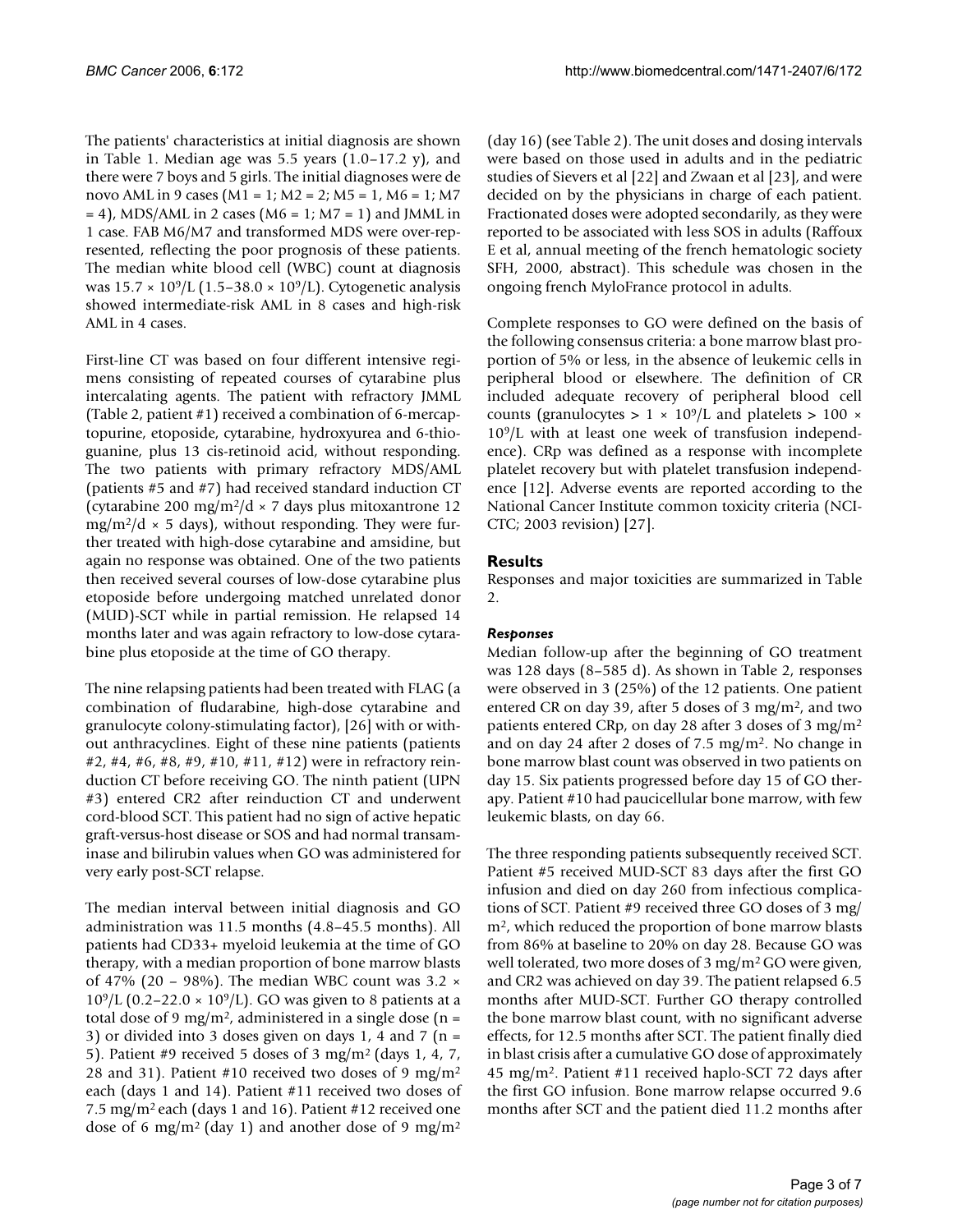The patients' characteristics at initial diagnosis are shown in Table 1. Median age was 5.5 years (1.0–17.2 y), and there were 7 boys and 5 girls. The initial diagnoses were de novo AML in 9 cases (M1 = 1; M2 = 2; M5 = 1, M6 = 1; M7  $= 4$ ), MDS/AML in 2 cases (M6 = 1; M7 = 1) and JMML in 1 case. FAB M6/M7 and transformed MDS were over-represented, reflecting the poor prognosis of these patients. The median white blood cell (WBC) count at diagnosis was  $15.7 \times 10^9$ /L (1.5–38.0  $\times 10^9$ /L). Cytogenetic analysis showed intermediate-risk AML in 8 cases and high-risk AML in 4 cases.

First-line CT was based on four different intensive regimens consisting of repeated courses of cytarabine plus intercalating agents. The patient with refractory JMML (Table 2, patient #1) received a combination of 6-mercaptopurine, etoposide, cytarabine, hydroxyurea and 6-thioguanine, plus 13 cis-retinoid acid, without responding. The two patients with primary refractory MDS/AML (patients #5 and #7) had received standard induction CT (cytarabine 200 mg/m<sup>2</sup>/d × 7 days plus mitoxantrone 12 mg/m<sup>2</sup>/d  $\times$  5 days), without responding. They were further treated with high-dose cytarabine and amsidine, but again no response was obtained. One of the two patients then received several courses of low-dose cytarabine plus etoposide before undergoing matched unrelated donor (MUD)-SCT while in partial remission. He relapsed 14 months later and was again refractory to low-dose cytarabine plus etoposide at the time of GO therapy.

The nine relapsing patients had been treated with FLAG (a combination of fludarabine, high-dose cytarabine and granulocyte colony-stimulating factor), [26] with or without anthracyclines. Eight of these nine patients (patients #2, #4, #6, #8, #9, #10, #11, #12) were in refractory reinduction CT before receiving GO. The ninth patient (UPN #3) entered CR2 after reinduction CT and underwent cord-blood SCT. This patient had no sign of active hepatic graft-versus-host disease or SOS and had normal transaminase and bilirubin values when GO was administered for very early post-SCT relapse.

The median interval between initial diagnosis and GO administration was 11.5 months (4.8–45.5 months). All patients had CD33+ myeloid leukemia at the time of GO therapy, with a median proportion of bone marrow blasts of 47% (20 – 98%). The median WBC count was 3.2  $\times$ 10<sup>9</sup>/L (0.2–22.0  $\times$  10<sup>9</sup>/L). GO was given to 8 patients at a total dose of 9 mg/m<sup>2</sup>, administered in a single dose (n = 3) or divided into 3 doses given on days 1, 4 and 7 ( $n =$ 5). Patient #9 received 5 doses of 3 mg/m2 (days 1, 4, 7, 28 and 31). Patient #10 received two doses of 9 mg/m2 each (days 1 and 14). Patient #11 received two doses of 7.5 mg/m2 each (days 1 and 16). Patient #12 received one dose of 6 mg/m<sup>2</sup> (day 1) and another dose of 9 mg/m<sup>2</sup>

(day 16) (see Table 2). The unit doses and dosing intervals were based on those used in adults and in the pediatric studies of Sievers et al [22] and Zwaan et al [23], and were decided on by the physicians in charge of each patient. Fractionated doses were adopted secondarily, as they were reported to be associated with less SOS in adults (Raffoux E et al, annual meeting of the french hematologic society SFH, 2000, abstract). This schedule was chosen in the ongoing french MyloFrance protocol in adults.

Complete responses to GO were defined on the basis of the following consensus criteria: a bone marrow blast proportion of 5% or less, in the absence of leukemic cells in peripheral blood or elsewhere. The definition of CR included adequate recovery of peripheral blood cell counts (granulocytes  $> 1 \times 10^9$ /L and platelets  $> 100 \times$  $10<sup>9</sup>/L$  with at least one week of transfusion independence). CRp was defined as a response with incomplete platelet recovery but with platelet transfusion independence [12]. Adverse events are reported according to the National Cancer Institute common toxicity criteria (NCI-CTC; 2003 revision) [27].

#### **Results**

Responses and major toxicities are summarized in Table 2.

#### *Responses*

Median follow-up after the beginning of GO treatment was 128 days (8–585 d). As shown in Table 2, responses were observed in 3 (25%) of the 12 patients. One patient entered CR on day 39, after 5 doses of 3 mg/m<sup>2</sup>, and two patients entered CRp, on day 28 after 3 doses of 3 mg/m2 and on day 24 after 2 doses of 7.5 mg/m2. No change in bone marrow blast count was observed in two patients on day 15. Six patients progressed before day 15 of GO therapy. Patient #10 had paucicellular bone marrow, with few leukemic blasts, on day 66.

The three responding patients subsequently received SCT. Patient #5 received MUD-SCT 83 days after the first GO infusion and died on day 260 from infectious complications of SCT. Patient #9 received three GO doses of 3 mg/ m<sup>2</sup>, which reduced the proportion of bone marrow blasts from 86% at baseline to 20% on day 28. Because GO was well tolerated, two more doses of 3 mg/m<sup>2</sup> GO were given, and CR2 was achieved on day 39. The patient relapsed 6.5 months after MUD-SCT. Further GO therapy controlled the bone marrow blast count, with no significant adverse effects, for 12.5 months after SCT. The patient finally died in blast crisis after a cumulative GO dose of approximately 45 mg/m2. Patient #11 received haplo-SCT 72 days after the first GO infusion. Bone marrow relapse occurred 9.6 months after SCT and the patient died 11.2 months after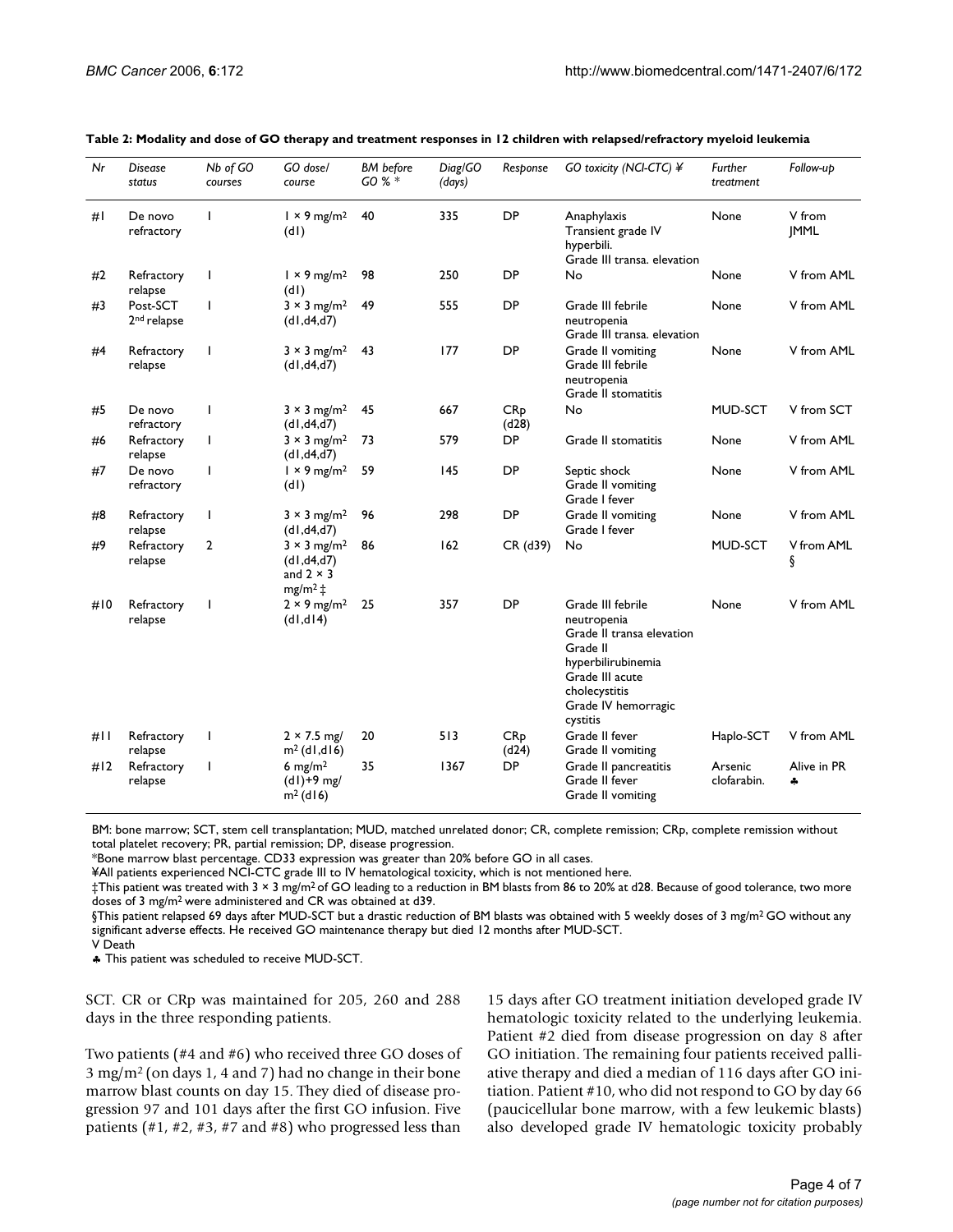| Nr                | <b>Disease</b><br>status            | Nb of GO<br>courses | GO dose/<br>course                                                                      | <b>BM</b> before<br>$GO X*$ | Diag/GO<br>(days) | Response                       | GO toxicity (NCI-CTC) ¥                                                                                                                                                | Further<br>treatment   | Follow-up             |
|-------------------|-------------------------------------|---------------------|-----------------------------------------------------------------------------------------|-----------------------------|-------------------|--------------------------------|------------------------------------------------------------------------------------------------------------------------------------------------------------------------|------------------------|-----------------------|
| # $\mathsf{l}$    | De novo<br>refractory               | L                   | $1 \times 9$ mg/m <sup>2</sup><br>(dI)                                                  | 40                          | 335               | <b>DP</b>                      | Anaphylaxis<br>Transient grade IV<br>hyperbili.<br>Grade III transa, elevation                                                                                         | None                   | V from<br><b>IMML</b> |
| #2                | Refractory<br>relapse               | T                   | $1 \times 9$ mg/m <sup>2</sup><br>(d)                                                   | 98                          | 250               | DP                             | No                                                                                                                                                                     | None                   | V from AML            |
| #3                | Post-SCT<br>2 <sup>nd</sup> relapse | T                   | $3 \times 3$ mg/m <sup>2</sup><br>(dI, d4, d7)                                          | 49                          | 555               | DP                             | Grade III febrile<br>neutropenia<br>Grade III transa. elevation                                                                                                        | None                   | V from AML            |
| #4                | Refractory<br>relapse               | T                   | $3 \times 3$ mg/m <sup>2</sup><br>(dI, d4, d7)                                          | 43                          | 177               | DP                             | Grade II vomiting<br>Grade III febrile<br>neutropenia<br>Grade II stomatitis                                                                                           | None                   | V from AML            |
| #5                | De novo<br>refractory               | L                   | $3 \times 3$ mg/m <sup>2</sup><br>(dI, d4, d7)                                          | 45                          | 667               | <b>CR<sub>p</sub></b><br>(d28) | No                                                                                                                                                                     | MUD-SCT                | V from SCT            |
| #6                | Refractory<br>relapse               | L                   | $3 \times 3$ mg/m <sup>2</sup><br>(dI, d4, d7)                                          | 73                          | 579               | <b>DP</b>                      | Grade II stomatitis                                                                                                                                                    | None                   | V from AML            |
| #7                | De novo<br>refractory               | T                   | $1 \times 9$ mg/m <sup>2</sup><br>(dI)                                                  | 59                          | 145               | <b>DP</b>                      | Septic shock<br>Grade II vomiting<br>Grade I fever                                                                                                                     | None                   | V from AML            |
| #8                | Refractory<br>relapse               | T                   | $3 \times 3$ mg/m <sup>2</sup><br>(dI, d4, d7)                                          | 96                          | 298               | DP                             | Grade II vomiting<br>Grade I fever                                                                                                                                     | None                   | V from AML            |
| #9                | Refractory<br>relapse               | $\overline{2}$      | $3 \times 3$ mg/m <sup>2</sup><br>(dI, d4, d7)<br>and $2 \times 3$<br>$mg/m^2 \ddagger$ | 86                          | 162               | CR (d39)                       | No                                                                                                                                                                     | MUD-SCT                | V from AML<br>ş       |
| # $\overline{10}$ | Refractory<br>relapse               | I                   | $2 \times 9$ mg/m <sup>2</sup><br>(Hb, lb)                                              | 25                          | 357               | DP                             | Grade III febrile<br>neutropenia<br>Grade II transa elevation<br>Grade II<br>hyperbilirubinemia<br>Grade III acute<br>cholecystitis<br>Grade IV hemorragic<br>cystitis | None                   | V from AML            |
| $#$               | Refractory<br>relapse               | I                   | $2 \times 7.5$ mg/<br>$m2$ (dl,dl6)                                                     | 20                          | 513               | CR <sub>p</sub><br>(d24)       | Grade II fever<br>Grade II vomiting                                                                                                                                    | Haplo-SCT              | V from AML            |
| # $ 2$            | Refractory<br>relapse               | T                   | 6 mg/m $^2$<br>$(d1)+9$ mg/<br>$m^2$ (d   6)                                            | 35                          | 1367              | DP                             | Grade II pancreatitis<br>Grade II fever<br>Grade II vomiting                                                                                                           | Arsenic<br>clofarabin. | Alive in PR<br>4      |

|  |  | Table 2: Modality and dose of GO therapy and treatment responses in 12 children with relapsed/refractory myeloid leukemia |  |
|--|--|---------------------------------------------------------------------------------------------------------------------------|--|
|  |  |                                                                                                                           |  |

BM: bone marrow; SCT, stem cell transplantation; MUD, matched unrelated donor; CR, complete remission; CRp, complete remission without total platelet recovery; PR, partial remission; DP, disease progression.

\*Bone marrow blast percentage. CD33 expression was greater than 20% before GO in all cases.

¥All patients experienced NCI-CTC grade III to IV hematological toxicity, which is not mentioned here.

‡This patient was treated with 3 × 3 mg/m<sup>2</sup> of GO leading to a reduction in BM blasts from 86 to 20% at d28. Because of good tolerance, two more doses of 3 mg/m2 were administered and CR was obtained at d39.

§This patient relapsed 69 days after MUD-SCT but a drastic reduction of BM blasts was obtained with 5 weekly doses of 3 mg/m<sup>2</sup> GO without any significant adverse effects. He received GO maintenance therapy but died 12 months after MUD-SCT. V Death

♣ This patient was scheduled to receive MUD-SCT.

SCT. CR or CRp was maintained for 205, 260 and 288 days in the three responding patients.

Two patients (#4 and #6) who received three GO doses of 3 mg/m2 (on days 1, 4 and 7) had no change in their bone marrow blast counts on day 15. They died of disease progression 97 and 101 days after the first GO infusion. Five patients (#1, #2, #3, #7 and #8) who progressed less than 15 days after GO treatment initiation developed grade IV hematologic toxicity related to the underlying leukemia. Patient #2 died from disease progression on day 8 after GO initiation. The remaining four patients received palliative therapy and died a median of 116 days after GO initiation. Patient #10, who did not respond to GO by day 66 (paucicellular bone marrow, with a few leukemic blasts) also developed grade IV hematologic toxicity probably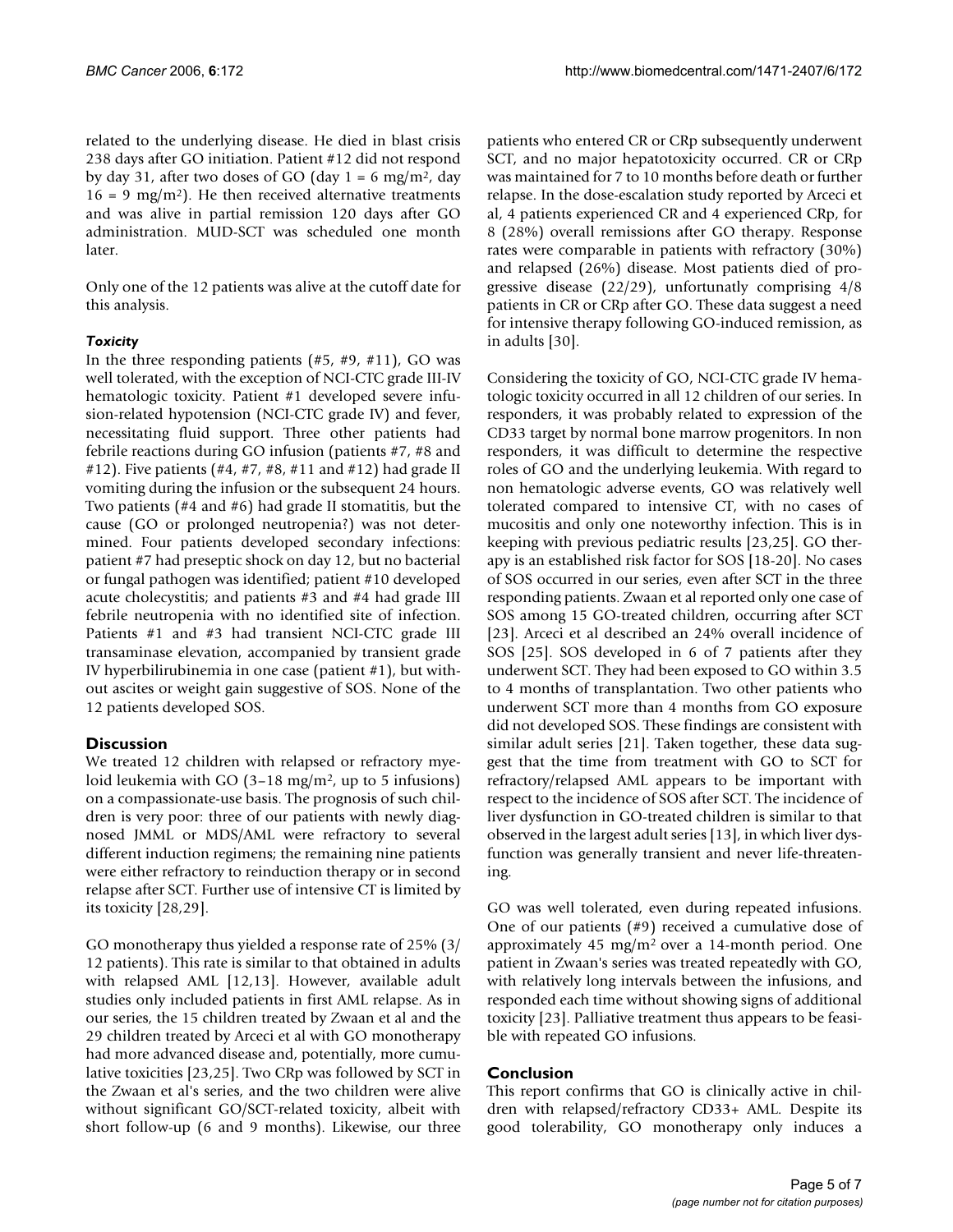related to the underlying disease. He died in blast crisis 238 days after GO initiation. Patient #12 did not respond by day 31, after two doses of GO (day  $1 = 6$  mg/m<sup>2</sup>, day  $16 = 9$  mg/m<sup>2</sup>). He then received alternative treatments and was alive in partial remission 120 days after GO administration. MUD-SCT was scheduled one month later.

Only one of the 12 patients was alive at the cutoff date for this analysis.

#### *Toxicity*

In the three responding patients  $(\#5, \#9, \#11)$ , GO was well tolerated, with the exception of NCI-CTC grade III-IV hematologic toxicity. Patient #1 developed severe infusion-related hypotension (NCI-CTC grade IV) and fever, necessitating fluid support. Three other patients had febrile reactions during GO infusion (patients #7, #8 and #12). Five patients (#4, #7, #8, #11 and #12) had grade II vomiting during the infusion or the subsequent 24 hours. Two patients (#4 and #6) had grade II stomatitis, but the cause (GO or prolonged neutropenia?) was not determined. Four patients developed secondary infections: patient #7 had preseptic shock on day 12, but no bacterial or fungal pathogen was identified; patient #10 developed acute cholecystitis; and patients #3 and #4 had grade III febrile neutropenia with no identified site of infection. Patients #1 and #3 had transient NCI-CTC grade III transaminase elevation, accompanied by transient grade IV hyperbilirubinemia in one case (patient #1), but without ascites or weight gain suggestive of SOS. None of the 12 patients developed SOS.

### **Discussion**

We treated 12 children with relapsed or refractory myeloid leukemia with GO  $(3-18 \text{ mg/m}^2)$ , up to 5 infusions) on a compassionate-use basis. The prognosis of such children is very poor: three of our patients with newly diagnosed JMML or MDS/AML were refractory to several different induction regimens; the remaining nine patients were either refractory to reinduction therapy or in second relapse after SCT. Further use of intensive CT is limited by its toxicity [28,29].

GO monotherapy thus yielded a response rate of 25% (3/ 12 patients). This rate is similar to that obtained in adults with relapsed AML [12,13]. However, available adult studies only included patients in first AML relapse. As in our series, the 15 children treated by Zwaan et al and the 29 children treated by Arceci et al with GO monotherapy had more advanced disease and, potentially, more cumulative toxicities [23,25]. Two CRp was followed by SCT in the Zwaan et al's series, and the two children were alive without significant GO/SCT-related toxicity, albeit with short follow-up (6 and 9 months). Likewise, our three

patients who entered CR or CRp subsequently underwent SCT, and no major hepatotoxicity occurred. CR or CRp was maintained for 7 to 10 months before death or further relapse. In the dose-escalation study reported by Arceci et al, 4 patients experienced CR and 4 experienced CRp, for 8 (28%) overall remissions after GO therapy. Response rates were comparable in patients with refractory (30%) and relapsed (26%) disease. Most patients died of progressive disease (22/29), unfortunatly comprising 4/8 patients in CR or CRp after GO. These data suggest a need for intensive therapy following GO-induced remission, as in adults [30].

Considering the toxicity of GO, NCI-CTC grade IV hematologic toxicity occurred in all 12 children of our series. In responders, it was probably related to expression of the CD33 target by normal bone marrow progenitors. In non responders, it was difficult to determine the respective roles of GO and the underlying leukemia. With regard to non hematologic adverse events, GO was relatively well tolerated compared to intensive CT, with no cases of mucositis and only one noteworthy infection. This is in keeping with previous pediatric results [23,25]. GO therapy is an established risk factor for SOS [18-20]. No cases of SOS occurred in our series, even after SCT in the three responding patients. Zwaan et al reported only one case of SOS among 15 GO-treated children, occurring after SCT [23]. Arceci et al described an 24% overall incidence of SOS [25]. SOS developed in 6 of 7 patients after they underwent SCT. They had been exposed to GO within 3.5 to 4 months of transplantation. Two other patients who underwent SCT more than 4 months from GO exposure did not developed SOS. These findings are consistent with similar adult series [21]. Taken together, these data suggest that the time from treatment with GO to SCT for refractory/relapsed AML appears to be important with respect to the incidence of SOS after SCT. The incidence of liver dysfunction in GO-treated children is similar to that observed in the largest adult series [13], in which liver dysfunction was generally transient and never life-threatening.

GO was well tolerated, even during repeated infusions. One of our patients (#9) received a cumulative dose of approximately 45 mg/m2 over a 14-month period. One patient in Zwaan's series was treated repeatedly with GO, with relatively long intervals between the infusions, and responded each time without showing signs of additional toxicity [23]. Palliative treatment thus appears to be feasible with repeated GO infusions.

#### **Conclusion**

This report confirms that GO is clinically active in children with relapsed/refractory CD33+ AML. Despite its good tolerability, GO monotherapy only induces a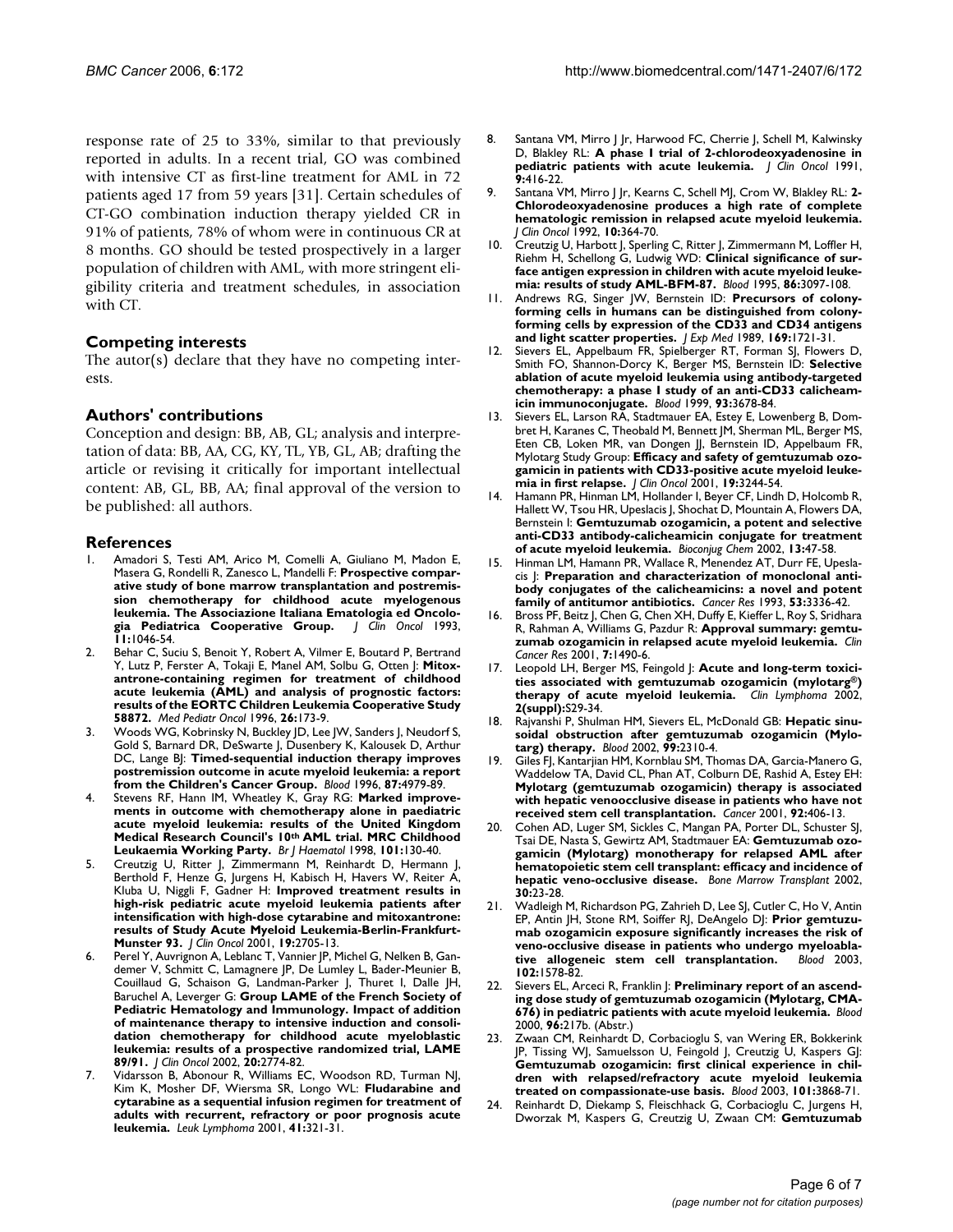response rate of 25 to 33%, similar to that previously reported in adults. In a recent trial, GO was combined with intensive CT as first-line treatment for AML in 72 patients aged 17 from 59 years [31]. Certain schedules of CT-GO combination induction therapy yielded CR in 91% of patients, 78% of whom were in continuous CR at 8 months. GO should be tested prospectively in a larger population of children with AML, with more stringent eligibility criteria and treatment schedules, in association with CT.

#### **Competing interests**

The autor(s) declare that they have no competing interests.

#### **Authors' contributions**

Conception and design: BB, AB, GL; analysis and interpretation of data: BB, AA, CG, KY, TL, YB, GL, AB; drafting the article or revising it critically for important intellectual content: AB, GL, BB, AA; final approval of the version to be published: all authors.

#### **References**

- Amadori S, Testi AM, Arico M, Comelli A, Giuliano M, Madon E, Masera G, Rondelli R, Zanesco L, Mandelli F: **[Prospective compar](http://www.ncbi.nlm.nih.gov/entrez/query.fcgi?cmd=Retrieve&db=PubMed&dopt=Abstract&list_uids=8501490)[ative study of bone marrow transplantation and postremis](http://www.ncbi.nlm.nih.gov/entrez/query.fcgi?cmd=Retrieve&db=PubMed&dopt=Abstract&list_uids=8501490)sion chemotherapy for childhood acute myelogenous leukemia. The Associazione Italiana Ematologia ed Oncolo[gia Pediatrica Cooperative Group.](http://www.ncbi.nlm.nih.gov/entrez/query.fcgi?cmd=Retrieve&db=PubMed&dopt=Abstract&list_uids=8501490)** *J Clin Oncol* 1993, **11:**1046-54.
- 2. Behar C, Suciu S, Benoit Y, Robert A, Vilmer E, Boutard P, Bertrand Y, Lutz P, Ferster A, Tokaji E, Manel AM, Solbu G, Otten J: **[Mitox](http://www.ncbi.nlm.nih.gov/entrez/query.fcgi?cmd=Retrieve&db=PubMed&dopt=Abstract&list_uids=8544799)[antrone-containing regimen for treatment of childhood](http://www.ncbi.nlm.nih.gov/entrez/query.fcgi?cmd=Retrieve&db=PubMed&dopt=Abstract&list_uids=8544799) acute leukemia (AML) and analysis of prognostic factors: results of the EORTC Children Leukemia Cooperative Study [58872.](http://www.ncbi.nlm.nih.gov/entrez/query.fcgi?cmd=Retrieve&db=PubMed&dopt=Abstract&list_uids=8544799)** *Med Pediatr Oncol* 1996, **26:**173-9.
- 3. Woods WG, Kobrinsky N, Buckley JD, Lee JW, Sanders J, Neudorf S, Gold S, Barnard DR, DeSwarte J, Dusenbery K, Kalousek D, Arthur DC, Lange BJ: **[Timed-sequential induction therapy improves](http://www.ncbi.nlm.nih.gov/entrez/query.fcgi?cmd=Retrieve&db=PubMed&dopt=Abstract&list_uids=8652810) [postremission outcome in acute myeloid leukemia: a report](http://www.ncbi.nlm.nih.gov/entrez/query.fcgi?cmd=Retrieve&db=PubMed&dopt=Abstract&list_uids=8652810) [from the Children's Cancer Group.](http://www.ncbi.nlm.nih.gov/entrez/query.fcgi?cmd=Retrieve&db=PubMed&dopt=Abstract&list_uids=8652810)** *Blood* 1996, **87:**4979-89.
- 4. Stevens RF, Hann IM, Wheatley K, Gray RG: **Marked improvements in outcome with chemotherapy alone in paediatric acute myeloid leukemia: results of the United Kingdom Medical Research Council's 10th [AML trial. MRC Childhood](http://www.ncbi.nlm.nih.gov/entrez/query.fcgi?cmd=Retrieve&db=PubMed&dopt=Abstract&list_uids=9576193) [Leukaemia Working Party.](http://www.ncbi.nlm.nih.gov/entrez/query.fcgi?cmd=Retrieve&db=PubMed&dopt=Abstract&list_uids=9576193)** *Br J Haematol* 1998, **101:**130-40.
- 5. Creutzig U, Ritter J, Zimmermann M, Reinhardt D, Hermann J, Berthold F, Henze G, Jurgens H, Kabisch H, Havers W, Reiter A, Kluba U, Niggli F, Gadner H: **[Improved treatment results in](http://www.ncbi.nlm.nih.gov/entrez/query.fcgi?cmd=Retrieve&db=PubMed&dopt=Abstract&list_uids=11352963) [high-risk pediatric acute myeloid leukemia patients after](http://www.ncbi.nlm.nih.gov/entrez/query.fcgi?cmd=Retrieve&db=PubMed&dopt=Abstract&list_uids=11352963) intensification with high-dose cytarabine and mitoxantrone: results of Study Acute Myeloid Leukemia-Berlin-Frankfurt-[Munster 93.](http://www.ncbi.nlm.nih.gov/entrez/query.fcgi?cmd=Retrieve&db=PubMed&dopt=Abstract&list_uids=11352963)** *J Clin Oncol* 2001, **19:**2705-13.
- Perel Y, Auvrignon A, Leblanc T, Vannier JP, Michel G, Nelken B, Gandemer V, Schmitt C, Lamagnere JP, De Lumley L, Bader-Meunier B, Couillaud G, Schaison G, Landman-Parker J, Thuret I, Dalle JH, Baruchel A, Leverger G: **[Group LAME of the French Society of](http://www.ncbi.nlm.nih.gov/entrez/query.fcgi?cmd=Retrieve&db=PubMed&dopt=Abstract&list_uids=12065553) Pediatric Hematology and Immunology. Impact of addition of maintenance therapy to intensive induction and consoli[dation chemotherapy for childhood acute myeloblastic](http://www.ncbi.nlm.nih.gov/entrez/query.fcgi?cmd=Retrieve&db=PubMed&dopt=Abstract&list_uids=12065553) leukemia: results of a prospective randomized trial, LAME [89/91.](http://www.ncbi.nlm.nih.gov/entrez/query.fcgi?cmd=Retrieve&db=PubMed&dopt=Abstract&list_uids=12065553)** *J Clin Oncol* 2002, **20:**2774-82.
- 7. Vidarsson B, Abonour R, Williams EC, Woodson RD, Turman NJ, Kim K, Mosher DF, Wiersma SR, Longo WL: **[Fludarabine and](http://www.ncbi.nlm.nih.gov/entrez/query.fcgi?cmd=Retrieve&db=PubMed&dopt=Abstract&list_uids=11378544) [cytarabine as a sequential infusion regimen for treatment of](http://www.ncbi.nlm.nih.gov/entrez/query.fcgi?cmd=Retrieve&db=PubMed&dopt=Abstract&list_uids=11378544) adults with recurrent, refractory or poor prognosis acute [leukemia.](http://www.ncbi.nlm.nih.gov/entrez/query.fcgi?cmd=Retrieve&db=PubMed&dopt=Abstract&list_uids=11378544)** *Leuk Lymphoma* 2001, **41:**321-31.
- 8. Santana VM, Mirro J Jr, Harwood FC, Cherrie J, Schell M, Kalwinsky D, Blakley RL: **[A phase I trial of 2-chlorodeoxyadenosine in](http://www.ncbi.nlm.nih.gov/entrez/query.fcgi?cmd=Retrieve&db=PubMed&dopt=Abstract&list_uids=1671875) [pediatric patients with acute leukemia.](http://www.ncbi.nlm.nih.gov/entrez/query.fcgi?cmd=Retrieve&db=PubMed&dopt=Abstract&list_uids=1671875)** *J Clin Oncol* 1991, **9:**416-22.
- 9. Santana VM, Mirro J Jr, Kearns C, Schell MJ, Crom W, Blakley RL: **[2-](http://www.ncbi.nlm.nih.gov/entrez/query.fcgi?cmd=Retrieve&db=PubMed&dopt=Abstract&list_uids=1346800) [Chlorodeoxyadenosine produces a high rate of complete](http://www.ncbi.nlm.nih.gov/entrez/query.fcgi?cmd=Retrieve&db=PubMed&dopt=Abstract&list_uids=1346800) hematologic remission in relapsed acute myeloid leukemia.** *J Clin Oncol* 1992, **10:**364-70.
- 10. Creutzig U, Harbott J, Sperling C, Ritter J, Zimmermann M, Loffler H, Riehm H, Schellong G, Ludwig WD: **[Clinical significance of sur](http://www.ncbi.nlm.nih.gov/entrez/query.fcgi?cmd=Retrieve&db=PubMed&dopt=Abstract&list_uids=7579404)[face antigen expression in children with acute myeloid leuke](http://www.ncbi.nlm.nih.gov/entrez/query.fcgi?cmd=Retrieve&db=PubMed&dopt=Abstract&list_uids=7579404)[mia: results of study AML-BFM-87.](http://www.ncbi.nlm.nih.gov/entrez/query.fcgi?cmd=Retrieve&db=PubMed&dopt=Abstract&list_uids=7579404)** *Blood* 1995, **86:**3097-108.
- 11. Andrews RG, Singer JW, Bernstein ID: **[Precursors of colony](http://www.ncbi.nlm.nih.gov/entrez/query.fcgi?cmd=Retrieve&db=PubMed&dopt=Abstract&list_uids=2469766)[forming cells in humans can be distinguished from colony](http://www.ncbi.nlm.nih.gov/entrez/query.fcgi?cmd=Retrieve&db=PubMed&dopt=Abstract&list_uids=2469766)forming cells by expression of the CD33 and CD34 antigens [and light scatter properties.](http://www.ncbi.nlm.nih.gov/entrez/query.fcgi?cmd=Retrieve&db=PubMed&dopt=Abstract&list_uids=2469766)** *J Exp Med* 1989, **169:**1721-31.
- Sievers EL, Appelbaum FR, Spielberger RT, Forman SJ, Flowers D, Smith FO, Shannon-Dorcy K, Berger MS, Bernstein ID: **[Selective](http://www.ncbi.nlm.nih.gov/entrez/query.fcgi?cmd=Retrieve&db=PubMed&dopt=Abstract&list_uids=10339474) [ablation of acute myeloid leukemia using antibody-targeted](http://www.ncbi.nlm.nih.gov/entrez/query.fcgi?cmd=Retrieve&db=PubMed&dopt=Abstract&list_uids=10339474) chemotherapy: a phase I study of an anti-CD33 calicheam[icin immunoconjugate.](http://www.ncbi.nlm.nih.gov/entrez/query.fcgi?cmd=Retrieve&db=PubMed&dopt=Abstract&list_uids=10339474)** *Blood* 1999, **93:**3678-84.
- Sievers EL, Larson RA, Stadtmauer EA, Estey E, Lowenberg B, Dombret H, Karanes C, Theobald M, Bennett JM, Sherman ML, Berger MS, Eten CB, Loken MR, van Dongen JJ, Bernstein ID, Appelbaum FR, Mylotarg Study Group: **[Efficacy and safety of gemtuzumab ozo](http://www.ncbi.nlm.nih.gov/entrez/query.fcgi?cmd=Retrieve&db=PubMed&dopt=Abstract&list_uids=11432892)[gamicin in patients with CD33-positive acute myeloid leuke](http://www.ncbi.nlm.nih.gov/entrez/query.fcgi?cmd=Retrieve&db=PubMed&dopt=Abstract&list_uids=11432892)[mia in first relapse.](http://www.ncbi.nlm.nih.gov/entrez/query.fcgi?cmd=Retrieve&db=PubMed&dopt=Abstract&list_uids=11432892)** *J Clin Oncol* 2001, **19:**3244-54.
- 14. Hamann PR, Hinman LM, Hollander I, Beyer CF, Lindh D, Holcomb R, Hallett W, Tsou HR, Upeslacis J, Shochat D, Mountain A, Flowers DA, Bernstein I: **[Gemtuzumab ozogamicin, a potent and selective](http://www.ncbi.nlm.nih.gov/entrez/query.fcgi?cmd=Retrieve&db=PubMed&dopt=Abstract&list_uids=11792178) [anti-CD33 antibody-calicheamicin conjugate for treatment](http://www.ncbi.nlm.nih.gov/entrez/query.fcgi?cmd=Retrieve&db=PubMed&dopt=Abstract&list_uids=11792178) [of acute myeloid leukemia.](http://www.ncbi.nlm.nih.gov/entrez/query.fcgi?cmd=Retrieve&db=PubMed&dopt=Abstract&list_uids=11792178)** *Bioconjug Chem* 2002, **13:**47-58.
- 15. Hinman LM, Hamann PR, Wallace R, Menendez AT, Durr FE, Upeslacis J: **[Preparation and characterization of monoclonal anti](http://www.ncbi.nlm.nih.gov/entrez/query.fcgi?cmd=Retrieve&db=PubMed&dopt=Abstract&list_uids=8324745)[body conjugates of the calicheamicins: a novel and potent](http://www.ncbi.nlm.nih.gov/entrez/query.fcgi?cmd=Retrieve&db=PubMed&dopt=Abstract&list_uids=8324745) [family of antitumor antibiotics.](http://www.ncbi.nlm.nih.gov/entrez/query.fcgi?cmd=Retrieve&db=PubMed&dopt=Abstract&list_uids=8324745)** *Cancer Res* 1993, **53:**3336-42.
- 16. Bross PF, Beitz J, Chen G, Chen XH, Duffy E, Kieffer L, Roy S, Sridhara R, Rahman A, Williams G, Pazdur R: **[Approval summary: gemtu](http://www.ncbi.nlm.nih.gov/entrez/query.fcgi?cmd=Retrieve&db=PubMed&dopt=Abstract&list_uids=11410481)[zumab ozogamicin in relapsed acute myeloid leukemia.](http://www.ncbi.nlm.nih.gov/entrez/query.fcgi?cmd=Retrieve&db=PubMed&dopt=Abstract&list_uids=11410481)** *Clin Cancer Res* 2001, **7:**1490-6.
- 17. Leopold LH, Berger MS, Feingold J: Acute and long-term toxici**ties associated with gemtuzumab ozogamicin (mylotarg®) therapy of acute myeloid leukemia.** *Clin Lymphoma* 2002, **2(suppl):**S29-34.
- 18. Rajvanshi P, Shulman HM, Sievers EL, McDonald GB: **[Hepatic sinu](http://www.ncbi.nlm.nih.gov/entrez/query.fcgi?cmd=Retrieve&db=PubMed&dopt=Abstract&list_uids=11895761)[soidal obstruction after gemtuzumab ozogamicin \(Mylo](http://www.ncbi.nlm.nih.gov/entrez/query.fcgi?cmd=Retrieve&db=PubMed&dopt=Abstract&list_uids=11895761)[targ\) therapy.](http://www.ncbi.nlm.nih.gov/entrez/query.fcgi?cmd=Retrieve&db=PubMed&dopt=Abstract&list_uids=11895761)** *Blood* 2002, **99:**2310-4.
- 19. Giles FJ, Kantarjian HM, Kornblau SM, Thomas DA, Garcia-Manero G, Waddelow TA, David CL, Phan AT, Colburn DE, Rashid A, Estey EH: **[Mylotarg \(gemtuzumab ozogamicin\) therapy is associated](http://www.ncbi.nlm.nih.gov/entrez/query.fcgi?cmd=Retrieve&db=PubMed&dopt=Abstract&list_uids=11466696) with hepatic venoocclusive disease in patients who have not [received stem cell transplantation.](http://www.ncbi.nlm.nih.gov/entrez/query.fcgi?cmd=Retrieve&db=PubMed&dopt=Abstract&list_uids=11466696)** *Cancer* 2001, **92:**406-13.
- 20. Cohen AD, Luger SM, Sickles C, Mangan PA, Porter DL, Schuster SJ, Tsai DE, Nasta S, Gewirtz AM, Stadtmauer EA: **[Gemtuzumab ozo](http://www.ncbi.nlm.nih.gov/entrez/query.fcgi?cmd=Retrieve&db=PubMed&dopt=Abstract&list_uids=12105773)[gamicin \(Mylotarg\) monotherapy for relapsed AML after](http://www.ncbi.nlm.nih.gov/entrez/query.fcgi?cmd=Retrieve&db=PubMed&dopt=Abstract&list_uids=12105773) hematopoietic stem cell transplant: efficacy and incidence of [hepatic veno-occlusive disease.](http://www.ncbi.nlm.nih.gov/entrez/query.fcgi?cmd=Retrieve&db=PubMed&dopt=Abstract&list_uids=12105773)** *Bone Marrow Transplant* 2002, **30:**23-28.
- 21. Wadleigh M, Richardson PG, Zahrieh D, Lee SJ, Cutler C, Ho V, Antin EP, Antin JH, Stone RM, Soiffer RJ, DeAngelo DJ: **[Prior gemtuzu](http://www.ncbi.nlm.nih.gov/entrez/query.fcgi?cmd=Retrieve&db=PubMed&dopt=Abstract&list_uids=12738663)[mab ozogamicin exposure significantly increases the risk of](http://www.ncbi.nlm.nih.gov/entrez/query.fcgi?cmd=Retrieve&db=PubMed&dopt=Abstract&list_uids=12738663) veno-occlusive disease in patients who undergo myeloabla**[tive allogeneic stem cell transplantation.](http://www.ncbi.nlm.nih.gov/entrez/query.fcgi?cmd=Retrieve&db=PubMed&dopt=Abstract&list_uids=12738663) **102:**1578-82.
- 22. Sievers EL, Arceci R, Franklin J: **Preliminary report of an ascending dose study of gemtuzumab ozogamicin (Mylotarg, CMA-676) in pediatric patients with acute myeloid leukemia.** *Blood* 2000, **96:**217b. (Abstr.)
- 23. Zwaan CM, Reinhardt D, Corbacioglu S, van Wering ER, Bokkerink JP, Tissing WJ, Samuelsson U, Feingold J, Creutzig U, Kaspers GJ: **[Gemtuzumab ozogamicin: first clinical experience in chil](http://www.ncbi.nlm.nih.gov/entrez/query.fcgi?cmd=Retrieve&db=PubMed&dopt=Abstract&list_uids=12543868)dren with relapsed/refractory acute myeloid leukemia [treated on compassionate-use basis.](http://www.ncbi.nlm.nih.gov/entrez/query.fcgi?cmd=Retrieve&db=PubMed&dopt=Abstract&list_uids=12543868)** *Blood* 2003, **101:**3868-71.
- Reinhardt D, Diekamp S, Fleischhack G, Corbacioglu C, Jurgens H, Dworzak M, Kaspers G, Creutzig U, Zwaan CM: **[Gemtuzumab](http://www.ncbi.nlm.nih.gov/entrez/query.fcgi?cmd=Retrieve&db=PubMed&dopt=Abstract&list_uids=15249716)**